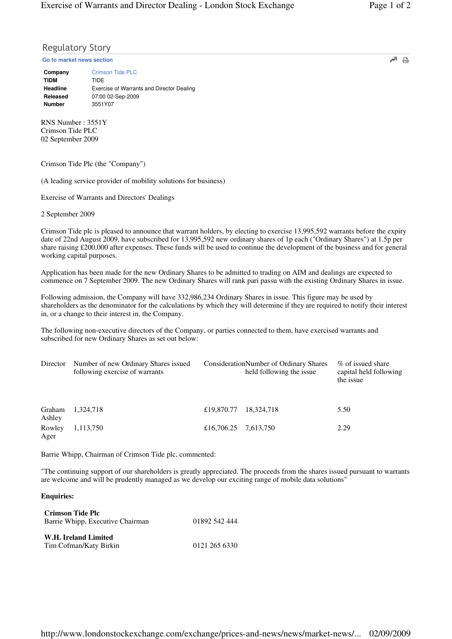## Regulatory Story

**Go to market news section**

| Company<br>TIDM | <b>Crimson Tide PLC</b><br>TIDF           |
|-----------------|-------------------------------------------|
| Headline        | Exercise of Warrants and Director Dealing |
| Released        | 07:00 02-Sep-2009                         |
| <b>Number</b>   | 3551Y07                                   |

RNS Number : 3551Y Crimson Tide PLC 02 September 2009

Crimson Tide Plc (the "Company")

(A leading service provider of mobility solutions for business)

Exercise of Warrants and Directors' Dealings

2 September 2009

Crimson Tide plc is pleased to announce that warrant holders, by electing to exercise 13,995,592 warrants before the expiry date of 22nd August 2009, have subscribed for 13,995,592 new ordinary shares of 1p each ("Ordinary Shares") at 1.5p per share raising £200,000 after expenses. These funds will be used to continue the development of the business and for general working capital purposes.

Application has been made for the new Ordinary Shares to be admitted to trading on AIM and dealings are expected to commence on 7 September 2009. The new Ordinary Shares will rank pari passu with the existing Ordinary Shares in issue.

Following admission, the Company will have 332,986,234 Ordinary Shares in issue. This figure may be used by shareholders as the denominator for the calculations by which they will determine if they are required to notify their interest in, or a change to their interest in, the Company.

The following non-executive directors of the Company, or parties connected to them, have exercised warrants and subscribed for new Ordinary Shares as set out below:

| Director         | Number of new Ordinary Shares issued<br>following exercise of warrants |            | ConsiderationNumber of Ordinary Shares<br>held following the issue | % of issued share<br>capital held following<br>the issue |
|------------------|------------------------------------------------------------------------|------------|--------------------------------------------------------------------|----------------------------------------------------------|
| Graham<br>Ashley | 1,324,718                                                              | £19,870.77 | 18.324.718                                                         | 5.50                                                     |
| Rowley<br>Ager   | 1,113,750                                                              | £16,706.25 | 7,613,750                                                          | 2.29                                                     |

Barrie Whipp, Chairman of Crimson Tide plc, commented:

"The continuing support of our shareholders is greatly appreciated. The proceeds from the shares issued pursuant to warrants are welcome and will be prudently managed as we develop our exciting range of mobile data solutions"

## **Enquiries:**

| Crimson Tide Plc<br>Barrie Whipp, Executive Chairman | 01892 542 444 |
|------------------------------------------------------|---------------|
| W.H. Ireland Limited<br>Tim Cofman/Katy Birkin       | 0121 265 6330 |